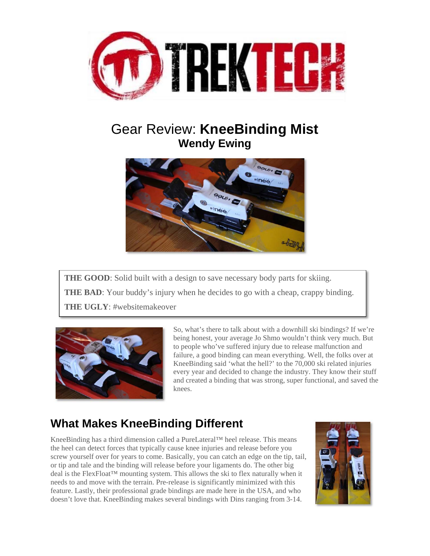

# Gear Review: **KneeBinding Mist Wendy Ewing**



**THE GOOD:** Solid built with a design to save necessary body parts for skiing. **THE BAD**: Your buddy's injury when he decides to go with a cheap, crappy binding. **THE UGLY**: #websitemakeover



So, what's there to talk about with a downhill ski bindings? If we're being honest, your average Jo Shmo wouldn't think very much. But to people who've suffered injury due to release malfunction and failure, a good binding can mean everything. Well, the folks over at KneeBinding said 'what the hell?' to the 70,000 ski related injuries every year and decided to change the industry. They know their stuff and created a binding that was strong, super functional, and saved the knees.

## **What Makes KneeBinding Different**

KneeBinding has a third dimension called a PureLateral™ heel release. This means the heel can detect forces that typically cause knee injuries and release before you screw yourself over for years to come. Basically, you can catch an edge on the tip, tail, or tip and tale and the binding will release before your ligaments do. The other big deal is the FlexFloat™ mounting system. This allows the ski to flex naturally when it needs to and move with the terrain. Pre-release is significantly minimized with this feature. Lastly, their professional grade bindings are made here in the USA, and who doesn't love that. KneeBinding makes several bindings with Dins ranging from 3-14.